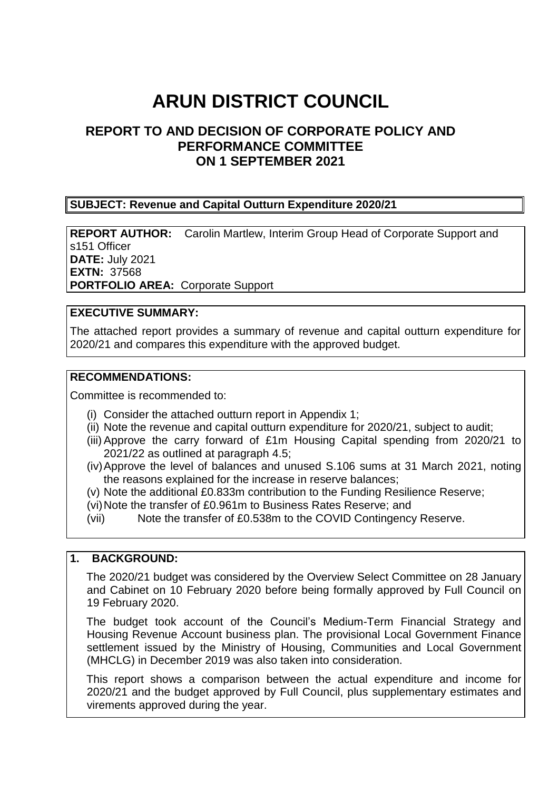# **ARUN DISTRICT COUNCIL**

### **REPORT TO AND DECISION OF CORPORATE POLICY AND PERFORMANCE COMMITTEE ON 1 SEPTEMBER 2021**

#### **SUBJECT: Revenue and Capital Outturn Expenditure 2020/21**

**REPORT AUTHOR:** Carolin Martlew, Interim Group Head of Corporate Support and s151 Officer **DATE:** July 2021 **EXTN:** 37568 **PORTFOLIO AREA:** Corporate Support

#### **EXECUTIVE SUMMARY:**

The attached report provides a summary of revenue and capital outturn expenditure for 2020/21 and compares this expenditure with the approved budget.

#### **RECOMMENDATIONS:**

Committee is recommended to:

- (i) Consider the attached outturn report in Appendix 1;
- (ii) Note the revenue and capital outturn expenditure for 2020/21, subject to audit;
- (iii) Approve the carry forward of £1m Housing Capital spending from 2020/21 to 2021/22 as outlined at paragraph 4.5;
- (iv)Approve the level of balances and unused S.106 sums at 31 March 2021, noting the reasons explained for the increase in reserve balances;
- (v) Note the additional £0.833m contribution to the Funding Resilience Reserve;
- (vi)Note the transfer of £0.961m to Business Rates Reserve; and
- (vii) Note the transfer of £0.538m to the COVID Contingency Reserve.

#### **1. BACKGROUND:**

The 2020/21 budget was considered by the Overview Select Committee on 28 January and Cabinet on 10 February 2020 before being formally approved by Full Council on 19 February 2020.

The budget took account of the Council's Medium-Term Financial Strategy and Housing Revenue Account business plan. The provisional Local Government Finance settlement issued by the Ministry of Housing, Communities and Local Government (MHCLG) in December 2019 was also taken into consideration.

This report shows a comparison between the actual expenditure and income for 2020/21 and the budget approved by Full Council, plus supplementary estimates and virements approved during the year.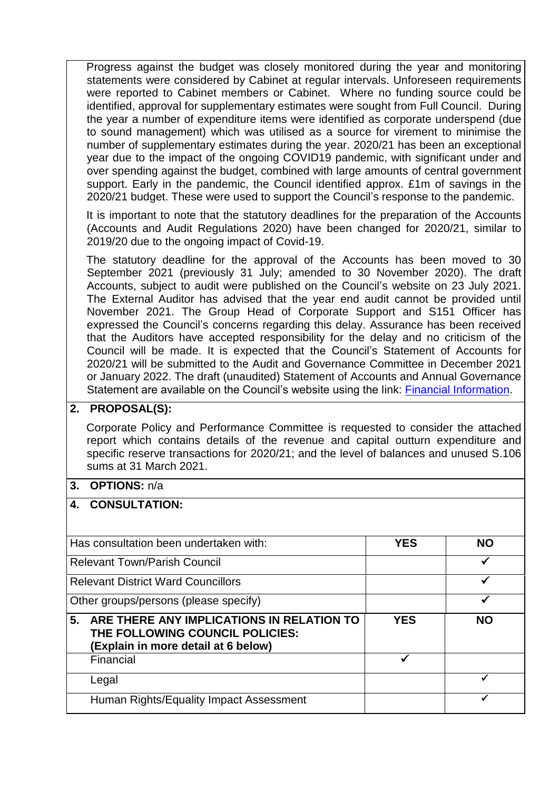Progress against the budget was closely monitored during the year and monitoring statements were considered by Cabinet at regular intervals. Unforeseen requirements were reported to Cabinet members or Cabinet. Where no funding source could be identified, approval for supplementary estimates were sought from Full Council. During the year a number of expenditure items were identified as corporate underspend (due to sound management) which was utilised as a source for virement to minimise the number of supplementary estimates during the year. 2020/21 has been an exceptional year due to the impact of the ongoing COVID19 pandemic, with significant under and over spending against the budget, combined with large amounts of central government support. Early in the pandemic, the Council identified approx. £1m of savings in the 2020/21 budget. These were used to support the Council's response to the pandemic.

It is important to note that the statutory deadlines for the preparation of the Accounts (Accounts and Audit Regulations 2020) have been changed for 2020/21, similar to 2019/20 due to the ongoing impact of Covid-19.

The statutory deadline for the approval of the Accounts has been moved to 30 September 2021 (previously 31 July; amended to 30 November 2020). The draft Accounts, subject to audit were published on the Council's website on 23 July 2021. The External Auditor has advised that the year end audit cannot be provided until November 2021. The Group Head of Corporate Support and S151 Officer has expressed the Council's concerns regarding this delay. Assurance has been received that the Auditors have accepted responsibility for the delay and no criticism of the Council will be made. It is expected that the Council's Statement of Accounts for 2020/21 will be submitted to the Audit and Governance Committee in December 2021 or January 2022. The draft (unaudited) Statement of Accounts and Annual Governance Statement are available on the Council's website using the link: [Financial Information.](http://www.arun.gov.uk/financial-information)

#### **2. PROPOSAL(S):**

Corporate Policy and Performance Committee is requested to consider the attached report which contains details of the revenue and capital outturn expenditure and specific reserve transactions for 2020/21; and the level of balances and unused S.106 sums at 31 March 2021.

#### **3. OPTIONS:** n/a

#### **4. CONSULTATION:**

| Has consultation been undertaken with:                                                                                    | YES        | <b>NO</b> |
|---------------------------------------------------------------------------------------------------------------------------|------------|-----------|
| <b>Relevant Town/Parish Council</b>                                                                                       |            |           |
| <b>Relevant District Ward Councillors</b>                                                                                 |            |           |
| Other groups/persons (please specify)                                                                                     |            |           |
| 5.<br>ARE THERE ANY IMPLICATIONS IN RELATION TO<br>THE FOLLOWING COUNCIL POLICIES:<br>(Explain in more detail at 6 below) | <b>YES</b> | <b>NO</b> |
| Financial                                                                                                                 |            |           |
| Legal                                                                                                                     |            |           |
| Human Rights/Equality Impact Assessment                                                                                   |            |           |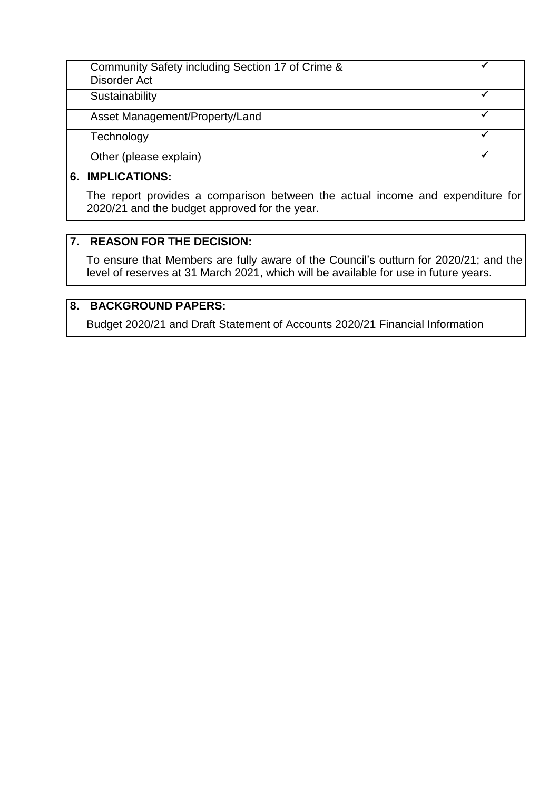| Community Safety including Section 17 of Crime &<br>Disorder Act |  |
|------------------------------------------------------------------|--|
| Sustainability                                                   |  |
| Asset Management/Property/Land                                   |  |
| Technology                                                       |  |
| Other (please explain)                                           |  |
|                                                                  |  |

#### **6. IMPLICATIONS:**

The report provides a comparison between the actual income and expenditure for 2020/21 and the budget approved for the year.

#### **7. REASON FOR THE DECISION:**

To ensure that Members are fully aware of the Council's outturn for 2020/21; and the level of reserves at 31 March 2021, which will be available for use in future years.

### **8. BACKGROUND PAPERS:**

Budget 2020/21 and Draft Statement of Accounts 2020/21 Financial Information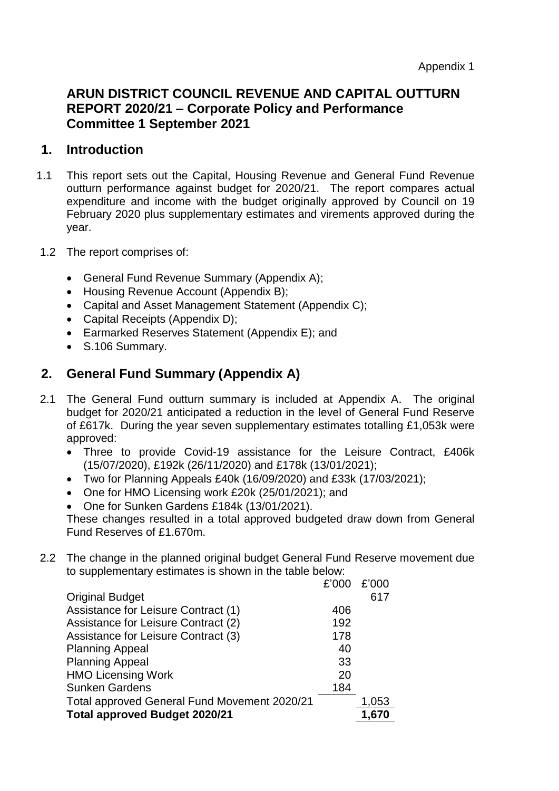### **ARUN DISTRICT COUNCIL REVENUE AND CAPITAL OUTTURN REPORT 2020/21 – Corporate Policy and Performance Committee 1 September 2021**

#### **1. Introduction**

- 1.1 This report sets out the Capital, Housing Revenue and General Fund Revenue outturn performance against budget for 2020/21. The report compares actual expenditure and income with the budget originally approved by Council on 19 February 2020 plus supplementary estimates and virements approved during the year.
- 1.2 The report comprises of:
	- General Fund Revenue Summary (Appendix A);
	- Housing Revenue Account (Appendix B);
	- Capital and Asset Management Statement (Appendix C);
	- Capital Receipts (Appendix D):
	- Earmarked Reserves Statement (Appendix E); and
	- S.106 Summary.

### **2. General Fund Summary (Appendix A)**

- 2.1 The General Fund outturn summary is included at Appendix A. The original budget for 2020/21 anticipated a reduction in the level of General Fund Reserve of £617k. During the year seven supplementary estimates totalling £1,053k were approved:
	- Three to provide Covid-19 assistance for the Leisure Contract, £406k (15/07/2020), £192k (26/11/2020) and £178k (13/01/2021);
	- Two for Planning Appeals £40k (16/09/2020) and £33k (17/03/2021);
	- One for HMO Licensing work £20k (25/01/2021); and
	- One for Sunken Gardens £184k (13/01/2021).

These changes resulted in a total approved budgeted draw down from General Fund Reserves of £1.670m.

2.2 The change in the planned original budget General Fund Reserve movement due to supplementary estimates is shown in the table below:

|                                              | £'000 | £'000 |
|----------------------------------------------|-------|-------|
| <b>Original Budget</b>                       |       | 617   |
| Assistance for Leisure Contract (1)          | 406   |       |
| Assistance for Leisure Contract (2)          | 192   |       |
| Assistance for Leisure Contract (3)          | 178   |       |
| <b>Planning Appeal</b>                       | 40    |       |
| <b>Planning Appeal</b>                       | 33    |       |
| <b>HMO Licensing Work</b>                    | 20    |       |
| <b>Sunken Gardens</b>                        | 184   |       |
| Total approved General Fund Movement 2020/21 |       | 1,053 |
| <b>Total approved Budget 2020/21</b>         |       | 1.670 |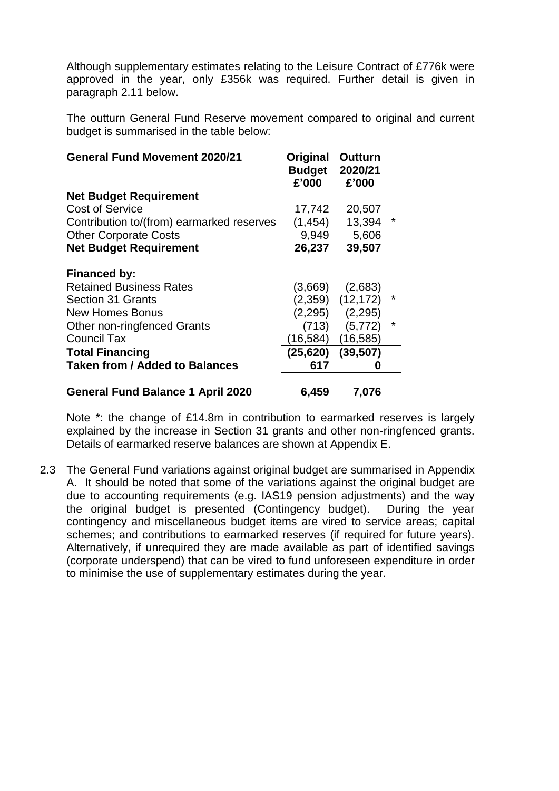Although supplementary estimates relating to the Leisure Contract of £776k were approved in the year, only £356k was required. Further detail is given in paragraph 2.11 below.

The outturn General Fund Reserve movement compared to original and current budget is summarised in the table below:

| <b>General Fund Movement 2020/21</b>      | Original<br><b>Budget</b><br>£'000 | Outturn<br>2020/21<br>£'000 |   |
|-------------------------------------------|------------------------------------|-----------------------------|---|
| <b>Net Budget Requirement</b>             |                                    |                             |   |
| <b>Cost of Service</b>                    | 17,742                             | 20,507                      |   |
| Contribution to/(from) earmarked reserves | (1, 454)                           | 13,394                      | * |
| <b>Other Corporate Costs</b>              | 9,949                              | 5,606                       |   |
| <b>Net Budget Requirement</b>             | 26,237                             | 39,507                      |   |
| <b>Financed by:</b>                       |                                    |                             |   |
| <b>Retained Business Rates</b>            | (3,669)                            | (2,683)                     |   |
| <b>Section 31 Grants</b>                  | (2,359)                            | (12, 172)                   | * |
| <b>New Homes Bonus</b>                    | (2, 295)                           | (2,295)                     |   |
| <b>Other non-ringfenced Grants</b>        | (713)                              | (5, 772)                    | * |
| <b>Council Tax</b>                        | (16, 584)                          | (16, 585)                   |   |
| <b>Total Financing</b>                    | (25, 620)                          | (39, 507)                   |   |
| <b>Taken from / Added to Balances</b>     | 617                                | 0                           |   |
| <b>General Fund Balance 1 April 2020</b>  | 6,459                              | 7,076                       |   |

Note \*: the change of £14.8m in contribution to earmarked reserves is largely explained by the increase in Section 31 grants and other non-ringfenced grants. Details of earmarked reserve balances are shown at Appendix E.

2.3 The General Fund variations against original budget are summarised in Appendix A. It should be noted that some of the variations against the original budget are due to accounting requirements (e.g. IAS19 pension adjustments) and the way the original budget is presented (Contingency budget). During the year contingency and miscellaneous budget items are vired to service areas; capital schemes; and contributions to earmarked reserves (if required for future years). Alternatively, if unrequired they are made available as part of identified savings (corporate underspend) that can be vired to fund unforeseen expenditure in order to minimise the use of supplementary estimates during the year.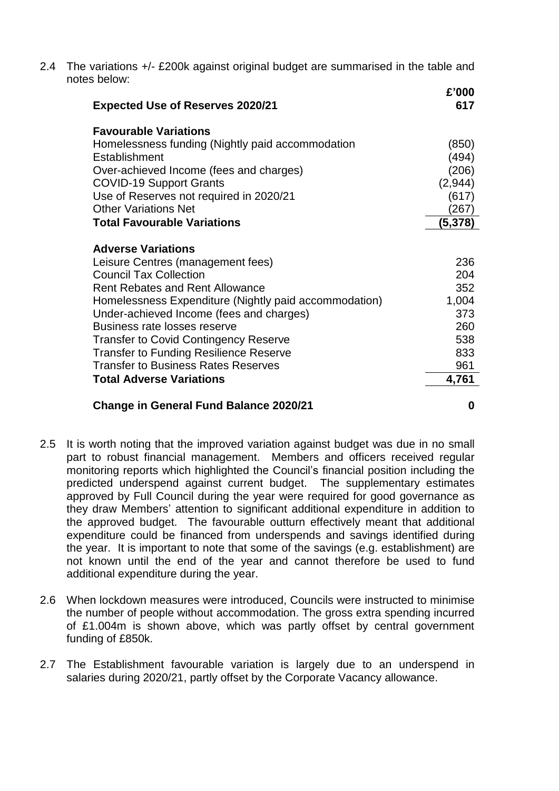2.4 The variations +/- £200k against original budget are summarised in the table and notes below:

| <b>Expected Use of Reserves 2020/21</b>               | £'000<br>617 |
|-------------------------------------------------------|--------------|
| <b>Favourable Variations</b>                          |              |
| Homelessness funding (Nightly paid accommodation      | (850)        |
| Establishment                                         | (494)        |
| Over-achieved Income (fees and charges)               | (206)        |
| <b>COVID-19 Support Grants</b>                        | (2,944)      |
| Use of Reserves not required in 2020/21               | (617)        |
| <b>Other Variations Net</b>                           | (267)        |
| <b>Total Favourable Variations</b>                    | (5,378)      |
| <b>Adverse Variations</b>                             |              |
| Leisure Centres (management fees)                     | 236          |
| <b>Council Tax Collection</b>                         | 204          |
| <b>Rent Rebates and Rent Allowance</b>                | 352          |
| Homelessness Expenditure (Nightly paid accommodation) | 1,004        |
| Under-achieved Income (fees and charges)              | 373          |
| Business rate losses reserve                          | 260          |
| <b>Transfer to Covid Contingency Reserve</b>          | 538          |
| <b>Transfer to Funding Resilience Reserve</b>         | 833          |
| <b>Transfer to Business Rates Reserves</b>            | 961          |
| <b>Total Adverse Variations</b>                       | 4,761        |
|                                                       |              |

#### **Change in General Fund Balance 2020/21 0**

- 
- 2.5 It is worth noting that the improved variation against budget was due in no small part to robust financial management. Members and officers received regular monitoring reports which highlighted the Council's financial position including the predicted underspend against current budget. The supplementary estimates approved by Full Council during the year were required for good governance as they draw Members' attention to significant additional expenditure in addition to the approved budget. The favourable outturn effectively meant that additional expenditure could be financed from underspends and savings identified during the year. It is important to note that some of the savings (e.g. establishment) are not known until the end of the year and cannot therefore be used to fund additional expenditure during the year.
- 2.6 When lockdown measures were introduced, Councils were instructed to minimise the number of people without accommodation. The gross extra spending incurred of £1.004m is shown above, which was partly offset by central government funding of £850k.
- 2.7 The Establishment favourable variation is largely due to an underspend in salaries during 2020/21, partly offset by the Corporate Vacancy allowance.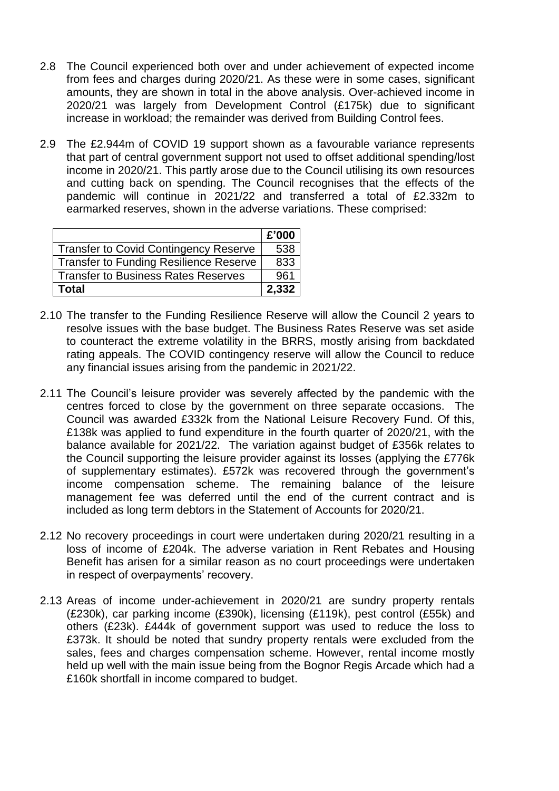- 2.8 The Council experienced both over and under achievement of expected income from fees and charges during 2020/21. As these were in some cases, significant amounts, they are shown in total in the above analysis. Over-achieved income in 2020/21 was largely from Development Control (£175k) due to significant increase in workload; the remainder was derived from Building Control fees.
- 2.9 The £2.944m of COVID 19 support shown as a favourable variance represents that part of central government support not used to offset additional spending/lost income in 2020/21. This partly arose due to the Council utilising its own resources and cutting back on spending. The Council recognises that the effects of the pandemic will continue in 2021/22 and transferred a total of £2.332m to earmarked reserves, shown in the adverse variations. These comprised:

|                                        | £'000 |
|----------------------------------------|-------|
| Transfer to Covid Contingency Reserve  | 538   |
| Transfer to Funding Resilience Reserve | 833   |
| Transfer to Business Rates Reserves    | 961   |
| Total                                  | 2,332 |

- 2.10 The transfer to the Funding Resilience Reserve will allow the Council 2 years to resolve issues with the base budget. The Business Rates Reserve was set aside to counteract the extreme volatility in the BRRS, mostly arising from backdated rating appeals. The COVID contingency reserve will allow the Council to reduce any financial issues arising from the pandemic in 2021/22.
- 2.11 The Council's leisure provider was severely affected by the pandemic with the centres forced to close by the government on three separate occasions. The Council was awarded £332k from the National Leisure Recovery Fund. Of this, £138k was applied to fund expenditure in the fourth quarter of 2020/21, with the balance available for 2021/22. The variation against budget of £356k relates to the Council supporting the leisure provider against its losses (applying the £776k of supplementary estimates). £572k was recovered through the government's income compensation scheme. The remaining balance of the leisure management fee was deferred until the end of the current contract and is included as long term debtors in the Statement of Accounts for 2020/21.
- 2.12 No recovery proceedings in court were undertaken during 2020/21 resulting in a loss of income of £204k. The adverse variation in Rent Rebates and Housing Benefit has arisen for a similar reason as no court proceedings were undertaken in respect of overpayments' recovery.
- 2.13 Areas of income under-achievement in 2020/21 are sundry property rentals (£230k), car parking income (£390k), licensing (£119k), pest control (£55k) and others (£23k). £444k of government support was used to reduce the loss to £373k. It should be noted that sundry property rentals were excluded from the sales, fees and charges compensation scheme. However, rental income mostly held up well with the main issue being from the Bognor Regis Arcade which had a £160k shortfall in income compared to budget.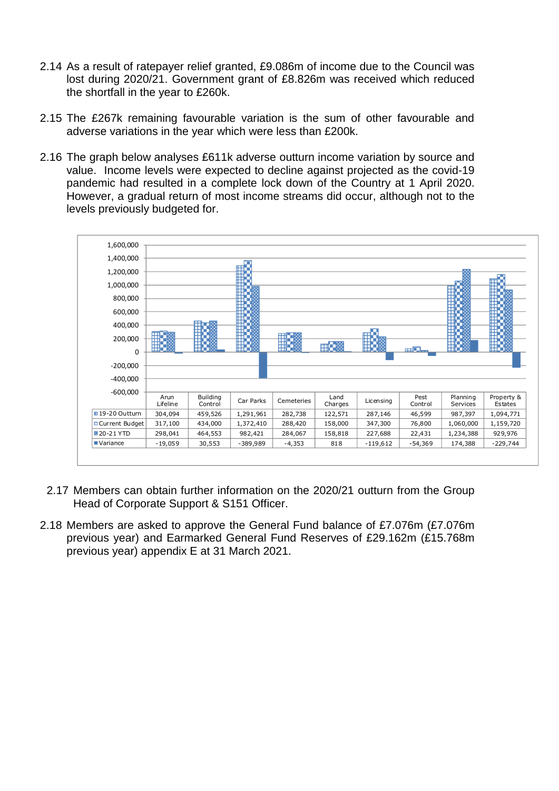- 2.14 As a result of ratepayer relief granted, £9.086m of income due to the Council was lost during 2020/21. Government grant of £8.826m was received which reduced the shortfall in the year to £260k.
- 2.15 The £267k remaining favourable variation is the sum of other favourable and adverse variations in the year which were less than £200k.
- 2.16 The graph below analyses £611k adverse outturn income variation by source and value. Income levels were expected to decline against projected as the covid-19 pandemic had resulted in a complete lock down of the Country at 1 April 2020. However, a gradual return of most income streams did occur, although not to the levels previously budgeted for.



- 2.17 Members can obtain further information on the 2020/21 outturn from the Group Head of Corporate Support & S151 Officer.
- 2.18 Members are asked to approve the General Fund balance of £7.076m (£7.076m previous year) and Earmarked General Fund Reserves of £29.162m (£15.768m previous year) appendix E at 31 March 2021.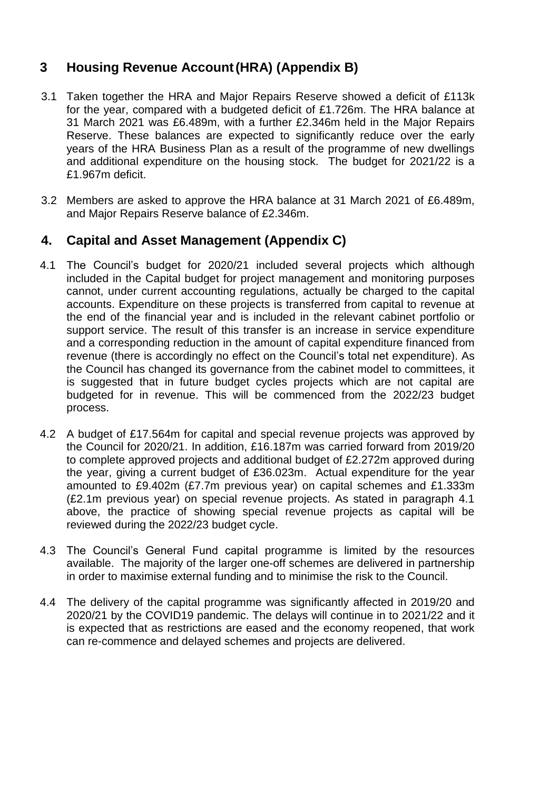### **3 Housing Revenue Account(HRA) (Appendix B)**

- 3.1 Taken together the HRA and Major Repairs Reserve showed a deficit of £113k for the year, compared with a budgeted deficit of £1.726m. The HRA balance at 31 March 2021 was £6.489m, with a further £2.346m held in the Major Repairs Reserve. These balances are expected to significantly reduce over the early years of the HRA Business Plan as a result of the programme of new dwellings and additional expenditure on the housing stock. The budget for 2021/22 is a £1.967m deficit.
- 3.2 Members are asked to approve the HRA balance at 31 March 2021 of £6.489m, and Major Repairs Reserve balance of £2.346m.

### **4. Capital and Asset Management (Appendix C)**

- 4.1 The Council's budget for 2020/21 included several projects which although included in the Capital budget for project management and monitoring purposes cannot, under current accounting regulations, actually be charged to the capital accounts. Expenditure on these projects is transferred from capital to revenue at the end of the financial year and is included in the relevant cabinet portfolio or support service. The result of this transfer is an increase in service expenditure and a corresponding reduction in the amount of capital expenditure financed from revenue (there is accordingly no effect on the Council's total net expenditure). As the Council has changed its governance from the cabinet model to committees, it is suggested that in future budget cycles projects which are not capital are budgeted for in revenue. This will be commenced from the 2022/23 budget process.
- 4.2 A budget of £17.564m for capital and special revenue projects was approved by the Council for 2020/21. In addition, £16.187m was carried forward from 2019/20 to complete approved projects and additional budget of £2.272m approved during the year, giving a current budget of £36.023m. Actual expenditure for the year amounted to £9.402m (£7.7m previous year) on capital schemes and £1.333m (£2.1m previous year) on special revenue projects. As stated in paragraph 4.1 above, the practice of showing special revenue projects as capital will be reviewed during the 2022/23 budget cycle.
- 4.3 The Council's General Fund capital programme is limited by the resources available. The majority of the larger one-off schemes are delivered in partnership in order to maximise external funding and to minimise the risk to the Council.
- 4.4 The delivery of the capital programme was significantly affected in 2019/20 and 2020/21 by the COVID19 pandemic. The delays will continue in to 2021/22 and it is expected that as restrictions are eased and the economy reopened, that work can re-commence and delayed schemes and projects are delivered.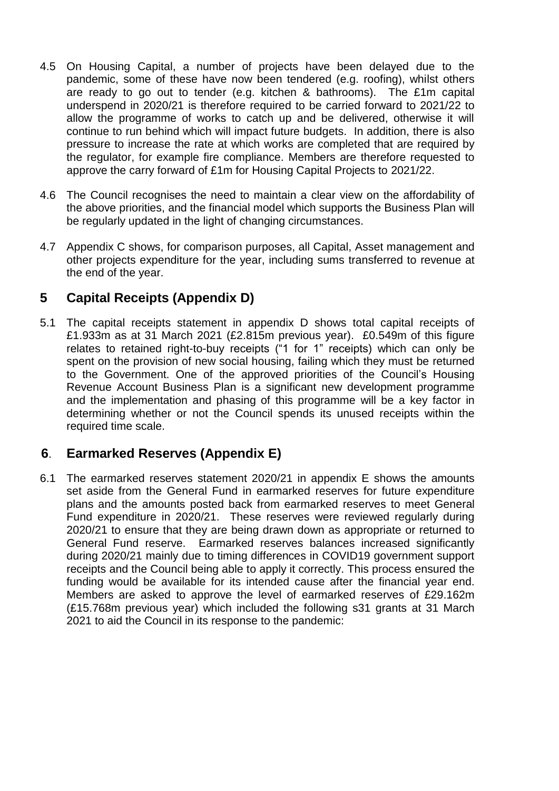- 4.5 On Housing Capital, a number of projects have been delayed due to the pandemic, some of these have now been tendered (e.g. roofing), whilst others are ready to go out to tender (e.g. kitchen & bathrooms). The £1m capital underspend in 2020/21 is therefore required to be carried forward to 2021/22 to allow the programme of works to catch up and be delivered, otherwise it will continue to run behind which will impact future budgets. In addition, there is also pressure to increase the rate at which works are completed that are required by the regulator, for example fire compliance. Members are therefore requested to approve the carry forward of £1m for Housing Capital Projects to 2021/22.
- 4.6 The Council recognises the need to maintain a clear view on the affordability of the above priorities, and the financial model which supports the Business Plan will be regularly updated in the light of changing circumstances.
- 4.7 Appendix C shows, for comparison purposes, all Capital, Asset management and other projects expenditure for the year, including sums transferred to revenue at the end of the year.

### **5 Capital Receipts (Appendix D)**

5.1 The capital receipts statement in appendix D shows total capital receipts of £1.933m as at 31 March 2021 (£2.815m previous year). £0.549m of this figure relates to retained right-to-buy receipts ("1 for 1" receipts) which can only be spent on the provision of new social housing, failing which they must be returned to the Government. One of the approved priorities of the Council's Housing Revenue Account Business Plan is a significant new development programme and the implementation and phasing of this programme will be a key factor in determining whether or not the Council spends its unused receipts within the required time scale.

### **6**. **Earmarked Reserves (Appendix E)**

6.1 The earmarked reserves statement 2020/21 in appendix E shows the amounts set aside from the General Fund in earmarked reserves for future expenditure plans and the amounts posted back from earmarked reserves to meet General Fund expenditure in 2020/21. These reserves were reviewed regularly during 2020/21 to ensure that they are being drawn down as appropriate or returned to General Fund reserve. Earmarked reserves balances increased significantly during 2020/21 mainly due to timing differences in COVID19 government support receipts and the Council being able to apply it correctly. This process ensured the funding would be available for its intended cause after the financial year end. Members are asked to approve the level of earmarked reserves of £29.162m (£15.768m previous year) which included the following s31 grants at 31 March 2021 to aid the Council in its response to the pandemic: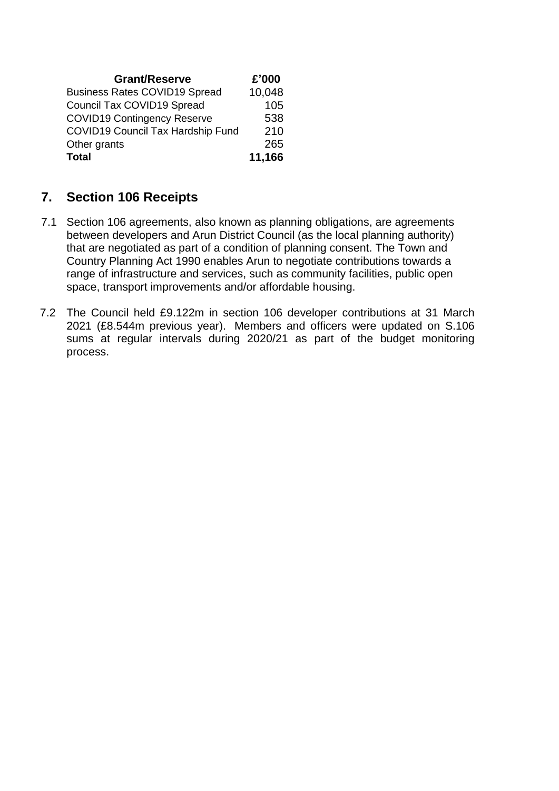| <b>Grant/Reserve</b>                     | £'000  |
|------------------------------------------|--------|
| <b>Business Rates COVID19 Spread</b>     | 10,048 |
| Council Tax COVID19 Spread               | 105    |
| <b>COVID19 Contingency Reserve</b>       | 538    |
| <b>COVID19 Council Tax Hardship Fund</b> | 210    |
| Other grants                             | 265    |
| <b>Total</b>                             | 11,166 |
|                                          |        |

### **7. Section 106 Receipts**

- 7.1 Section 106 agreements, also known as planning obligations, are agreements between developers and Arun District Council (as the local planning authority) that are negotiated as part of a condition of planning consent. The Town and Country Planning Act 1990 enables Arun to negotiate contributions towards a range of infrastructure and services, such as community facilities, public open space, transport improvements and/or affordable housing.
- 7.2 The Council held £9.122m in section 106 developer contributions at 31 March 2021 (£8.544m previous year). Members and officers were updated on S.106 sums at regular intervals during 2020/21 as part of the budget monitoring process.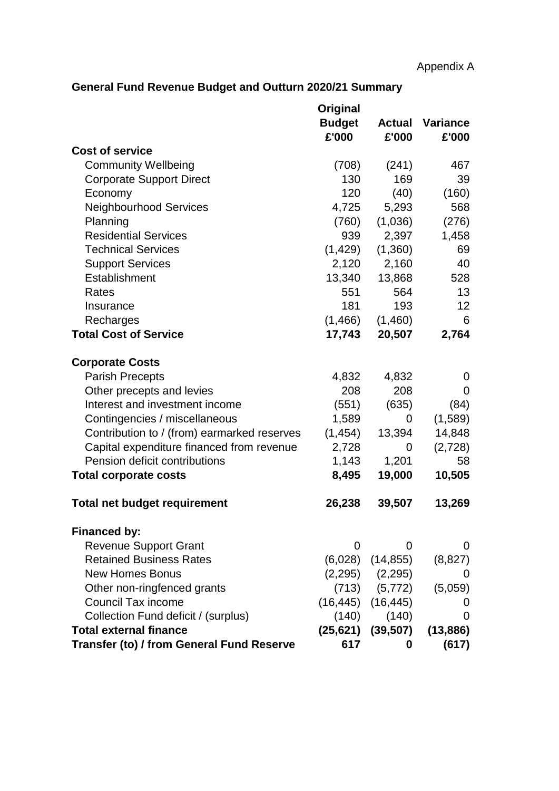### **General Fund Revenue Budget and Outturn 2020/21 Summary**

|                                                  | Original<br><b>Budget</b><br>£'000 | <b>Actual</b><br>£'000  | Variance<br>£'000 |
|--------------------------------------------------|------------------------------------|-------------------------|-------------------|
| <b>Cost of service</b>                           |                                    |                         |                   |
| <b>Community Wellbeing</b>                       | (708)                              | (241)                   | 467               |
| <b>Corporate Support Direct</b>                  | 130                                | 169                     | 39                |
| Economy                                          | 120                                | (40)                    | (160)             |
| <b>Neighbourhood Services</b>                    | 4,725                              | 5,293                   | 568               |
| Planning                                         | (760)                              | (1,036)                 | (276)             |
| <b>Residential Services</b>                      | 939                                | 2,397                   | 1,458             |
| <b>Technical Services</b>                        | (1, 429)                           | (1,360)                 | 69                |
| <b>Support Services</b>                          | 2,120                              | 2,160                   | 40                |
| Establishment                                    | 13,340                             | 13,868                  | 528               |
| Rates                                            | 551                                | 564                     | 13                |
| Insurance                                        | 181                                | 193                     | 12                |
| Recharges                                        | (1,466)                            | (1,460)                 | 6                 |
| <b>Total Cost of Service</b>                     | 17,743                             | 20,507                  | 2,764             |
| <b>Corporate Costs</b>                           |                                    |                         |                   |
| <b>Parish Precepts</b>                           | 4,832                              | 4,832                   | 0                 |
| Other precepts and levies                        | 208                                | 208                     | 0                 |
| Interest and investment income                   | (551)                              | (635)                   | (84)              |
| Contingencies / miscellaneous                    | 1,589                              | $\Omega$                | (1,589)           |
| Contribution to / (from) earmarked reserves      | (1, 454)                           | 13,394                  | 14,848            |
| Capital expenditure financed from revenue        | 2,728                              | 0                       | (2,728)           |
| Pension deficit contributions                    | 1,143                              | 1,201                   | 58                |
| <b>Total corporate costs</b>                     | 8,495                              | 19,000                  | 10,505            |
| <b>Total net budget requirement</b>              | 26,238                             | 39,507                  | 13,269            |
| <b>Financed by:</b>                              |                                    |                         |                   |
| <b>Revenue Support Grant</b>                     | 0                                  | 0                       | 0                 |
| <b>Retained Business Rates</b>                   | (6,028)                            | (14, 855)               | (8,827)           |
| <b>New Homes Bonus</b>                           |                                    | $(2,295)$ $(2,295)$     | O                 |
| Other non-ringfenced grants                      |                                    | $(713)$ $(5,772)$       | (5,059)           |
| <b>Council Tax income</b>                        |                                    | $(16, 445)$ $(16, 445)$ | O                 |
| Collection Fund deficit / (surplus)              |                                    | $(140)$ $(140)$         | 0                 |
| <b>Total external finance</b>                    |                                    | $(25, 621)$ $(39, 507)$ | (13, 886)         |
| <b>Transfer (to) / from General Fund Reserve</b> | 617                                | 0                       | (617)             |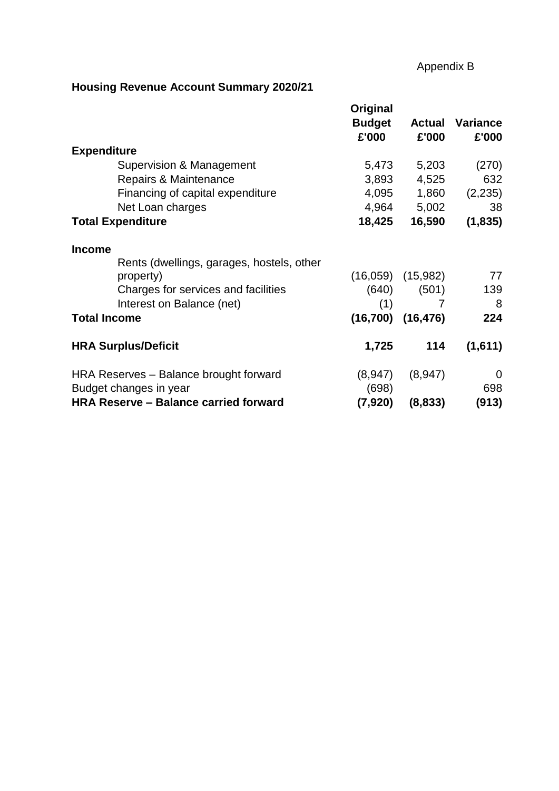### Appendix B

### **Housing Revenue Account Summary 2020/21**

|                                                                  | Original      |           |                 |
|------------------------------------------------------------------|---------------|-----------|-----------------|
|                                                                  | <b>Budget</b> | Actual    | <b>Variance</b> |
|                                                                  | £'000         | £'000     | £'000           |
| <b>Expenditure</b>                                               |               |           |                 |
| Supervision & Management                                         | 5,473         | 5,203     | (270)           |
| Repairs & Maintenance                                            | 3,893         | 4,525     | 632             |
| Financing of capital expenditure                                 | 4,095         | 1,860     | (2,235)         |
| Net Loan charges                                                 | 4,964         | 5,002     | 38              |
| <b>Total Expenditure</b>                                         | 18,425        | 16,590    | (1,835)         |
| <b>Income</b>                                                    |               |           |                 |
| Rents (dwellings, garages, hostels, other                        |               |           |                 |
| property)                                                        | (16,059)      | (15,982)  | 77              |
| Charges for services and facilities                              | (640)         | (501)     | 139             |
| Interest on Balance (net)                                        | (1)           | 7         | 8               |
| <b>Total Income</b>                                              | (16, 700)     | (16, 476) | 224             |
| <b>HRA Surplus/Deficit</b>                                       | 1,725         | 114       | (1,611)         |
|                                                                  | (8,947)       |           | 0               |
| HRA Reserves - Balance brought forward<br>Budget changes in year | (698)         | (8, 947)  | 698             |
| <b>HRA Reserve - Balance carried forward</b>                     | (7,920)       | (8,833)   | (913)           |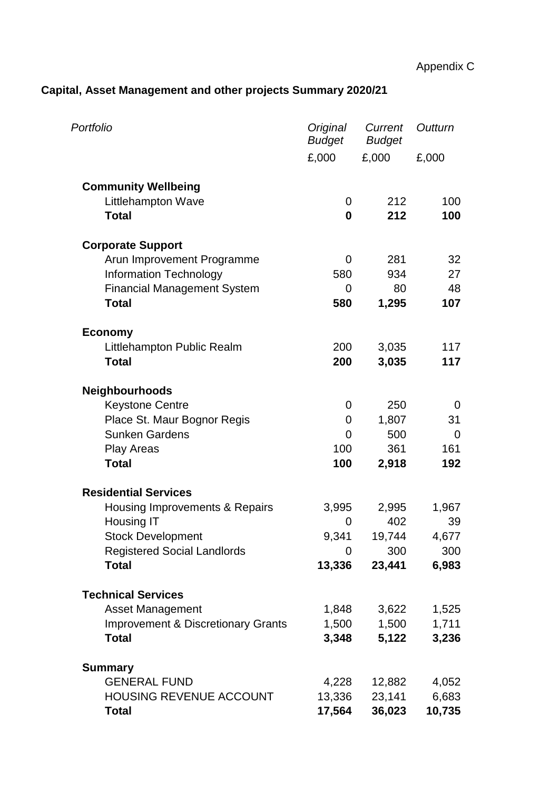## **Capital, Asset Management and other projects Summary 2020/21**

| Portfolio                                     | Original<br><b>Budget</b> | Current<br><b>Budget</b> | Outturn        |
|-----------------------------------------------|---------------------------|--------------------------|----------------|
|                                               | £,000                     | £,000                    | £,000          |
| <b>Community Wellbeing</b>                    |                           |                          |                |
| <b>Littlehampton Wave</b>                     | 0                         | 212                      | 100            |
| <b>Total</b>                                  | 0                         | 212                      | 100            |
| <b>Corporate Support</b>                      |                           |                          |                |
| Arun Improvement Programme                    | 0                         | 281                      | 32             |
| <b>Information Technology</b>                 | 580                       | 934                      | 27             |
| <b>Financial Management System</b>            | 0                         | 80                       | 48             |
| <b>Total</b>                                  | 580                       | 1,295                    | 107            |
| <b>Economy</b>                                |                           |                          |                |
| Littlehampton Public Realm                    | 200                       | 3,035                    | 117            |
| <b>Total</b>                                  | 200                       | 3,035                    | 117            |
| <b>Neighbourhoods</b>                         |                           |                          |                |
| <b>Keystone Centre</b>                        | 0                         | 250                      | 0              |
| Place St. Maur Bognor Regis                   | 0                         | 1,807                    | 31             |
| <b>Sunken Gardens</b>                         | 0                         | 500                      | $\overline{0}$ |
| <b>Play Areas</b>                             | 100                       | 361                      | 161            |
| <b>Total</b>                                  | 100                       | 2,918                    | 192            |
| <b>Residential Services</b>                   |                           |                          |                |
| Housing Improvements & Repairs                | 3,995                     | 2,995                    | 1,967          |
| Housing IT                                    | 0                         | 402                      | 39             |
| <b>Stock Development</b>                      | 9,341                     | 19,744                   | 4,677          |
| <b>Registered Social Landlords</b>            | 0                         | 300                      | 300            |
| <b>Total</b>                                  | 13,336                    | 23,441                   | 6,983          |
| <b>Technical Services</b>                     |                           |                          |                |
| <b>Asset Management</b>                       | 1,848                     | 3,622                    | 1,525          |
| <b>Improvement &amp; Discretionary Grants</b> | 1,500                     | 1,500                    | 1,711          |
| <b>Total</b>                                  | 3,348                     | 5,122                    | 3,236          |
| <b>Summary</b>                                |                           |                          |                |
| <b>GENERAL FUND</b>                           | 4,228                     | 12,882                   | 4,052          |
| <b>HOUSING REVENUE ACCOUNT</b>                | 13,336                    | 23,141                   | 6,683          |
| <b>Total</b>                                  | 17,564                    | 36,023                   | 10,735         |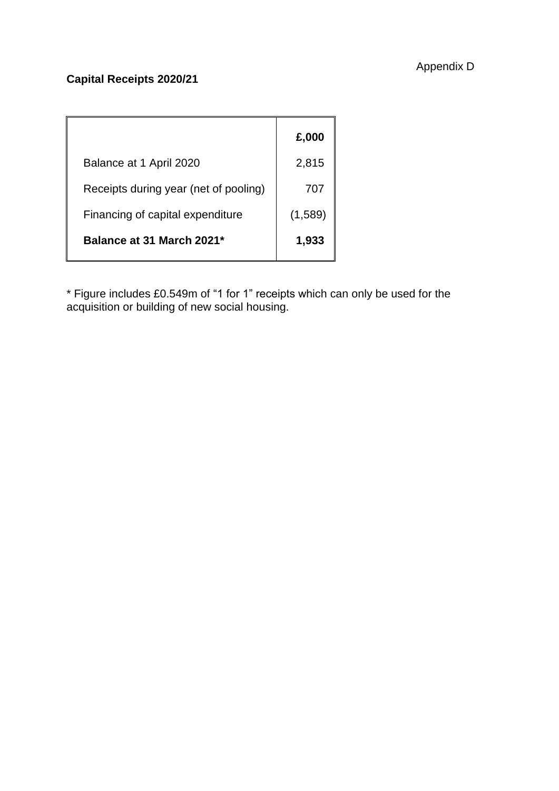### **Capital Receipts 2020/21**

|                                       | £,000   |
|---------------------------------------|---------|
| Balance at 1 April 2020               | 2,815   |
| Receipts during year (net of pooling) | 707     |
| Financing of capital expenditure      | (1,589) |
| Balance at 31 March 2021*             | 1,933   |

\* Figure includes £0.549m of "1 for 1" receipts which can only be used for the acquisition or building of new social housing.